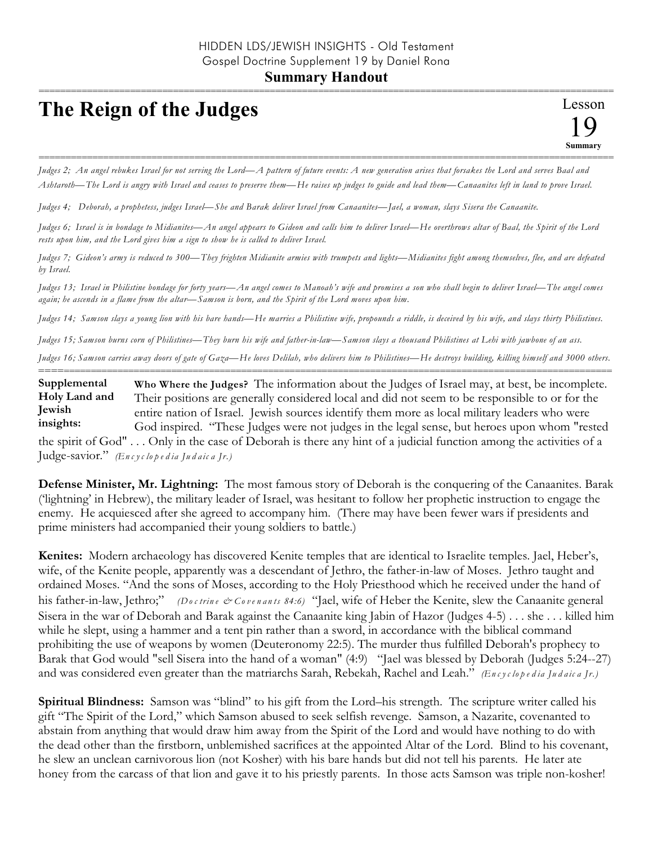## **The Reign of the Judges**

*Judges 2; An angel rebukes Israel for not serving the Lord—A pattern of future events: A new generation arises that forsakes the Lord and serves Baal and Ashtaroth—The Lord is angry with Israel and ceases to preserve them—He raises up judges to guide and lead them—Canaanites left in land to prove Israel.*

===========================================================================================================

*Judges 4; Deborah, a prophetess, judges Israel—She and Barak deliver Israel from Canaanites—Jael, a woman, slays Sisera the Canaanite.*

*Judges 6; Israel is in bondage to Midianites—An angel appears to Gideon and calls him to deliver Israel—He overthrows altar of Baal, the Spirit of the Lord rests upon him, and the Lord gives him a sign to show he is called to deliver Israel.*

*Judges 7; Gideon's army is reduced to 300—They frighten Midianite armies with trumpets and lights—Midianites fight among themselves, flee, and are defeated by Israel.*

*Judges 13; Israel in Philistine bondage for forty years—An angel comes to Manoah's wife and promises a son who shall begin to deliver Israel—The angel comes again; he ascends in a flame from the altar—Samson is born, and the Spirit of the Lord moves upon him.*

*Judges 14; Samson slays a young lion with his bare hands—He marries a Philistine wife, propounds a riddle, is deceived by his wife, and slays thirty Philistines.*

*Judges 15; Samson burns corn of Philistines—They burn his wife and father-in-law—Samson slays a thousand Philistines at Lehi with jawbone of an ass.*

*Judges 16; Samson carries away doors of gate of Gaza—He loves Delilah, who delivers him to Philistines—He destroys building, killing himself and 3000 others.* ==========================================================================================================

**Who Where the Judges?** The information about the Judges of Israel may, at best, be incomplete. Their positions are generally considered local and did not seem to be responsible to or for the entire nation of Israel. Jewish sources identify them more as local military leaders who were God inspired. "These Judges were not judges in the legal sense, but heroes upon whom "rested the spirit of God" . . . Only in the case of Deborah is there any hint of a judicial function among the activities of a Judge-savior." *(En c y c lo p e d ia Ju d a ic a Jr.)* **Supplemental Holy Land and Jewish insights:**

**Defense Minister, Mr. Lightning:** The most famous story of Deborah is the conquering of the Canaanites. Barak ('lightning' in Hebrew), the military leader of Israel, was hesitant to follow her prophetic instruction to engage the enemy. He acquiesced after she agreed to accompany him. (There may have been fewer wars if presidents and prime ministers had accompanied their young soldiers to battle.)

**Kenites:** Modern archaeology has discovered Kenite temples that are identical to Israelite temples. Jael, Heber's, wife, of the Kenite people, apparently was a descendant of Jethro, the father-in-law of Moses. Jethro taught and ordained Moses. "And the sons of Moses, according to the Holy Priesthood which he received under the hand of his father-in-law, Jethro;" *(Doctrine & Covenants 84:6)* "Jael, wife of Heber the Kenite, slew the Canaanite general Sisera in the war of Deborah and Barak against the Canaanite king Jabin of Hazor (Judges 4-5) . . . she . . . killed him while he slept, using a hammer and a tent pin rather than a sword, in accordance with the biblical command prohibiting the use of weapons by women (Deuteronomy 22:5). The murder thus fulfilled Deborah's prophecy to Barak that God would "sell Sisera into the hand of a woman" (4:9) "Jael was blessed by Deborah (Judges 5:24--27) and was considered even greater than the matriarchs Sarah, Rebekah, Rachel and Leah." *(En c y c lo p e d ia Ju d a ic a Jr.)*

**Spiritual Blindness:** Samson was "blind" to his gift from the Lord–his strength. The scripture writer called his gift "The Spirit of the Lord," which Samson abused to seek selfish revenge. Samson, a Nazarite, covenanted to abstain from anything that would draw him away from the Spirit of the Lord and would have nothing to do with the dead other than the firstborn, unblemished sacrifices at the appointed Altar of the Lord. Blind to his covenant, he slew an unclean carnivorous lion (not Kosher) with his bare hands but did not tell his parents. He later ate honey from the carcass of that lion and gave it to his priestly parents. In those acts Samson was triple non-kosher!